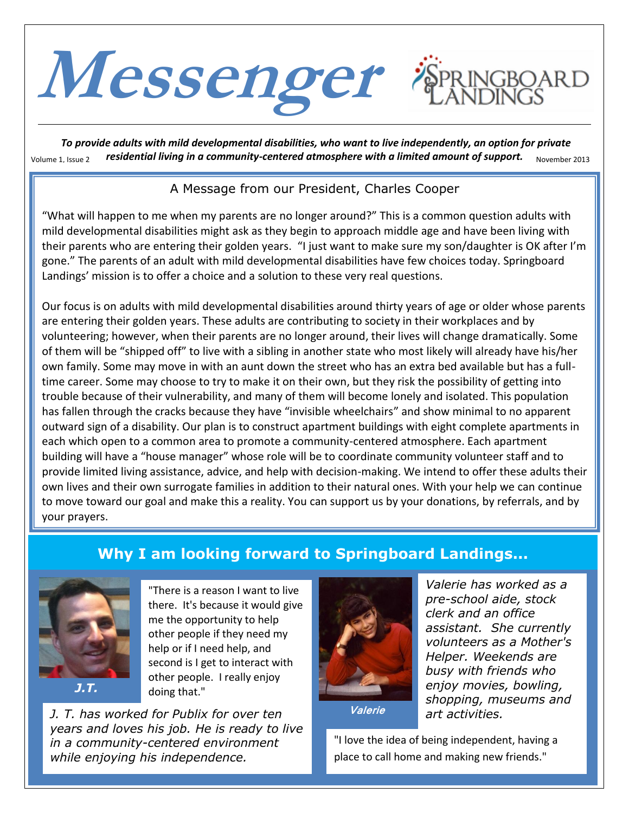

*To provide adults with mild developmental disabilities, who want to live independently, an option for private*  Volume 1, Issue 2 *residential living in a community-centered atmosphere with a limited amount of support.* **November 2013** 

# A Message from our President, Charles Cooper

"What will happen to me when my parents are no longer around?" This is a common question adults with mild developmental disabilities might ask as they begin to approach middle age and have been living with their parents who are entering their golden years. "I just want to make sure my son/daughter is OK after I'm gone." The parents of an adult with mild developmental disabilities have few choices today. Springboard Landings' mission is to offer a choice and a solution to these very real questions.

Our focus is on adults with mild developmental disabilities around thirty years of age or older whose parents are entering their golden years. These adults are contributing to society in their workplaces and by volunteering; however, when their parents are no longer around, their lives will change dramatically. Some of them will be "shipped off" to live with a sibling in another state who most likely will already have his/her own family. Some may move in with an aunt down the street who has an extra bed available but has a fulltime career. Some may choose to try to make it on their own, but they risk the possibility of getting into trouble because of their vulnerability, and many of them will become lonely and isolated. This population has fallen through the cracks because they have "invisible wheelchairs" and show minimal to no apparent outward sign of a disability. Our plan is to construct apartment buildings with eight complete apartments in each which open to a common area to promote a community-centered atmosphere. Each apartment building will have a "house manager" whose role will be to coordinate community volunteer staff and to provide limited living assistance, advice, and help with decision-making. We intend to offer these adults their own lives and their own surrogate families in addition to their natural ones. With your help we can continue to move toward our goal and make this a reality. You can support us by your donations, by referrals, and by your prayers.

### As the time of year for Thanksgiving approaches we are reminded of our many blessings and how we are all **component Why I am looking forward to Springboard Landings...**



"There is a reason I want to live there. It's because it would give me the opportunity to help other people if they need my help or if I need help, and second is I get to interact with other people. I really enjoy doing that."

*J. T. has worked for Publix for over ten years and loves his job. He is ready to live in a community-centered environment while enjoying his independence.*



**Valerie**

*Valerie has worked as a pre-school aide, stock clerk and an office assistant. She currently volunteers as a Mother's Helper. Weekends are busy with friends who enjoy movies, bowling, shopping, museums and art activities.*

"I love the idea of being independent, having a place to call home and making new friends."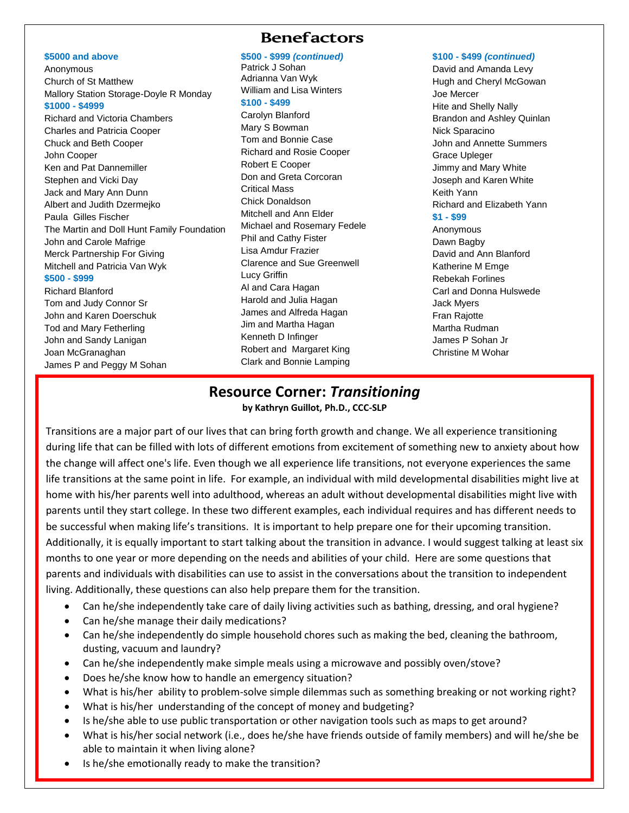### **\$5000 and above**

Anonymous Church of St Matthew Mallory Station Storage-Doyle R Monday **\$1000 - \$4999**

Richard and Victoria Chambers Charles and Patricia Cooper Chuck and Beth Cooper John Cooper Ken and Pat Dannemiller Stephen and Vicki Day Jack and Mary Ann Dunn Albert and Judith Dzermejko Paula Gilles Fischer The Martin and Doll Hunt Family Foundation John and Carole Mafrige Merck Partnership For Giving Mitchell and Patricia Van Wyk **\$500 - \$999**

Richard Blanford Tom and Judy Connor Sr John and Karen Doerschuk Tod and Mary Fetherling John and Sandy Lanigan Joan McGranaghan James P and Peggy M Sohan

# **Benefactors**

#### **\$500 - \$999** *(continued)*

Patrick J Sohan Adrianna Van Wyk William and Lisa Winters

### **\$100 - \$499**

Carolyn Blanford Mary S Bowman Tom and Bonnie Case Richard and Rosie Cooper Robert E Cooper Don and Greta Corcoran Critical Mass Chick Donaldson Mitchell and Ann Elder Michael and Rosemary Fedele Phil and Cathy Fister Lisa Amdur Frazier Clarence and Sue Greenwell Lucy Griffin Al and Cara Hagan Harold and Julia Hagan James and Alfreda Hagan Jim and Martha Hagan Kenneth D Infinger Robert and Margaret King Clark and Bonnie Lamping

#### **\$100 - \$499** *(continued)*

David and Amanda Levy Hugh and Cheryl McGowan Joe Mercer Hite and Shelly Nally Brandon and Ashley Quinlan Nick Sparacino John and Annette Summers Grace Upleger Jimmy and Mary White Joseph and Karen White Keith Yann Richard and Elizabeth Yann **\$1 - \$99** Anonymous Dawn Bagby David and Ann Blanford Katherine M Emge Rebekah Forlines Carl and Donna Hulswede Jack Myers Fran Rajotte Martha Rudman James P Sohan Jr Christine M Wohar

## **Resource Corner:** *Transitioning*

**by Kathryn Guillot, Ph.D., CCC-SLP**

Transitions are a major part of our lives that can bring forth growth and change. We all experience transitioning during life that can be filled with lots of different emotions from excitement of something new to anxiety about how the change will affect one's life. Even though we all experience life transitions, not everyone experiences the same life transitions at the same point in life. For example, an individual with mild developmental disabilities might live at home with his/her parents well into adulthood, whereas an adult without developmental disabilities might live with parents until they start college. In these two different examples, each individual requires and has different needs to be successful when making life's transitions. It is important to help prepare one for their upcoming transition. Additionally, it is equally important to start talking about the transition in advance. I would suggest talking at least six months to one year or more depending on the needs and abilities of your child. Here are some questions that parents and individuals with disabilities can use to assist in the conversations about the transition to independent living. Additionally, these questions can also help prepare them for the transition.

- Can he/she independently take care of daily living activities such as bathing, dressing, and oral hygiene?
- Can he/she manage their daily medications?
- Can he/she independently do simple household chores such as making the bed, cleaning the bathroom, dusting, vacuum and laundry?
- Can he/she independently make simple meals using a microwave and possibly oven/stove?
- Does he/she know how to handle an emergency situation?
- What is his/her ability to problem-solve simple dilemmas such as something breaking or not working right?
- What is his/her understanding of the concept of money and budgeting?
- Is he/she able to use public transportation or other navigation tools such as maps to get around?
- What is his/her social network (i.e., does he/she have friends outside of family members) and will he/she be able to maintain it when living alone?
- Is he/she emotionally ready to make the transition?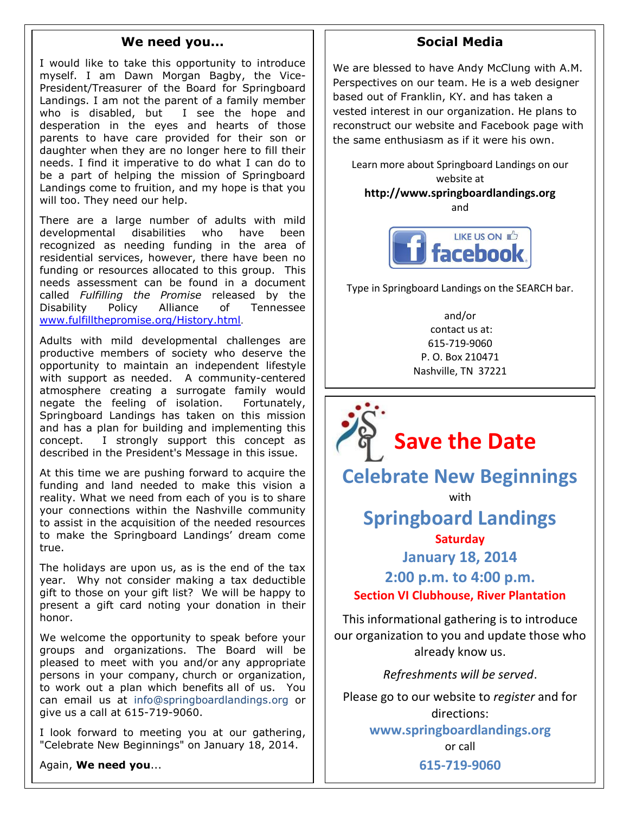### **We need you...**

I would like to take this opportunity to introduce myself. I am Dawn Morgan Bagby, the Vice-President/Treasurer of the Board for Springboard Landings. I am not the parent of a family member who is disabled, but I see the hope and desperation in the eyes and hearts of those parents to have care provided for their son or daughter when they are no longer here to fill their needs. I find it imperative to do what I can do to be a part of helping the mission of Springboard Landings come to fruition, and my hope is that you will too. They need our help.

There are a large number of adults with mild developmental disabilities who have been recognized as needing funding in the area of residential services, however, there have been no funding or resources allocated to this group. This needs assessment can be found in a document called *Fulfilling the Promise* released by the Disability Policy Alliance of Tennessee [www.fulfillthepromise.org/History.html](http://www.fulfillthepromise.org/History.html).

Adults with mild developmental challenges are productive members of society who deserve the opportunity to maintain an independent lifestyle with support as needed. A community-centered atmosphere creating a surrogate family would negate the feeling of isolation. Fortunately, Springboard Landings has taken on this mission and has a plan for building and implementing this concept. I strongly support this concept as described in the President's Message in this issue.

At this time we are pushing forward to acquire the funding and land needed to make this vision a reality. What we need from each of you is to share your connections within the Nashville community to assist in the acquisition of the needed resources to make the Springboard Landings' dream come true.

The holidays are upon us, as is the end of the tax year. Why not consider making a tax deductible gift to those on your gift list? We will be happy to present a gift card noting your donation in their honor.

We welcome the opportunity to speak before your groups and organizations. The Board will be pleased to meet with you and/or any appropriate persons in your company, church or organization, to work out a plan which benefits all of us. You can email us at info@springboardlandings.org or give us a call at 615-719-9060.

I look forward to meeting you at our gathering, "Celebrate New Beginnings" on January 18, 2014.

Again, **We need you**...

# **Social Media**

We are blessed to have Andy McClung with A.M. Perspectives on our team. He is a web designer based out of Franklin, KY. and has taken a vested interest in our organization. He plans to reconstruct our website and Facebook page with the same enthusiasm as if it were his own.

Learn more about Springboard Landings on our website at **http://www.springboardlandings.org**

and



Type in Springboard Landings on the SEARCH bar.

and/or contact us at: 615-719-9060 P. O. Box 210471 Nashville, TN 37221



# **Springboard Landings Saturday**

**January 18, 2014 2:00 p.m. to 4:00 p.m. Section VI Clubhouse, River Plantation**

This informational gathering is to introduce our organization to you and update those who already know us.

*Refreshments will be served*.

Please go to our website to *register* and for directions:

**www.springboardlandings.org**

or call **615-719-9060**